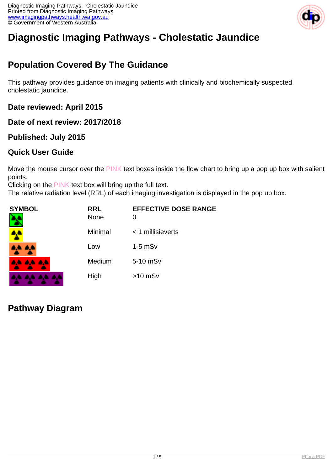

# **Diagnostic Imaging Pathways - Cholestatic Jaundice**

# **Population Covered By The Guidance**

This pathway provides guidance on imaging patients with clinically and biochemically suspected cholestatic jaundice.

**Date reviewed: April 2015**

**Date of next review: 2017/2018**

#### **Published: July 2015**

### **Quick User Guide**

Move the mouse cursor over the PINK text boxes inside the flow chart to bring up a pop up box with salient points.

Clicking on the PINK text box will bring up the full text.

The relative radiation level (RRL) of each imaging investigation is displayed in the pop up box.

| <b>SYMBOL</b> | <b>RRL</b><br><b>None</b> | <b>EFFECTIVE DOSE RANGE</b><br>0 |
|---------------|---------------------------|----------------------------------|
| <b>A</b>      | Minimal                   | $<$ 1 millisieverts              |
| 4,4 A,4       | Low                       | $1-5$ mS $v$                     |
| 8,6 8,6 8,6   | Medium                    | 5-10 mSv                         |
|               | High                      | $>10$ mSv                        |

**Pathway Diagram**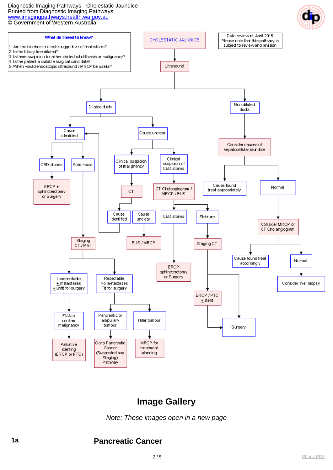#### Diagnostic Imaging Pathways - Cholestatic Jaundice Printed from Diagnostic Imaging Pathways [www.imagingpathways.health.wa.gov.au](http://www.imagingpathways.health.wa.gov.au/) © Government of Western Australia



# **Image Gallery**

Note: These images open in a new page

#### **1a Pancreatic Cancer**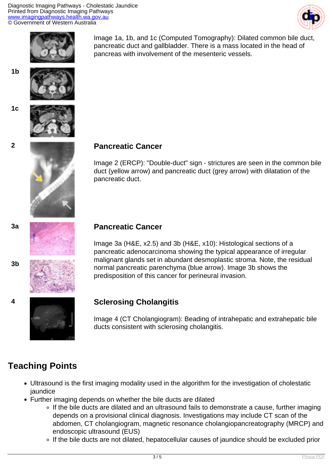Diagnostic Imaging Pathways - Cholestatic Jaundice Printed from Diagnostic Imaging Pathways [www.imagingpathways.health.wa.gov.au](http://www.imagingpathways.health.wa.gov.au/) © Government of Western Australia





Image 1a, 1b, and 1c (Computed Tomography): Dilated common bile duct, pancreatic duct and gallbladder. There is a mass located in the head of pancreas with involvement of the mesenteric vessels.



**1b**

**1c**



#### **2 Pancreatic Cancer**

Image 2 (ERCP): "Double-duct" sign - strictures are seen in the common bile duct (yellow arrow) and pancreatic duct (grey arrow) with dilatation of the pancreatic duct.

**3b**

#### **3a Pancreatic Cancer**

Image 3a (H&E, x2.5) and 3b (H&E, x10): Histological sections of a pancreatic adenocarcinoma showing the typical appearance of irregular malignant glands set in abundant desmoplastic stroma. Note, the residual normal pancreatic parenchyma (blue arrow). Image 3b shows the predisposition of this cancer for perineural invasion.



#### **4 Sclerosing Cholangitis**

Image 4 (CT Cholangiogram): Beading of intrahepatic and extrahepatic bile ducts consistent with sclerosing cholangitis.

# **Teaching Points**

- Ultrasound is the first imaging modality used in the algorithm for the investigation of cholestatic jaundice
- Further imaging depends on whether the bile ducts are dilated
	- o If the bile ducts are dilated and an ultrasound fails to demonstrate a cause, further imaging depends on a provisional clinical diagnosis. Investigations may include CT scan of the abdomen, CT cholangiogram, magnetic resonance cholangiopancreatography (MRCP) and endoscopic ultrasound (EUS)
	- If the bile ducts are not dilated, hepatocellular causes of jaundice should be excluded prior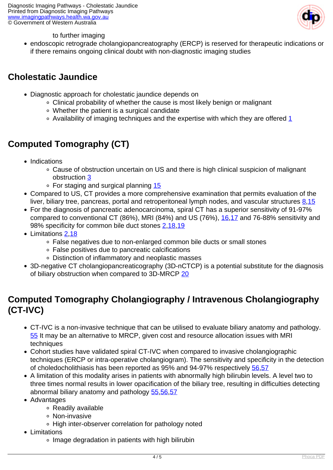

to further imaging

endoscopic retrograde cholangiopancreatography (ERCP) is reserved for therapeutic indications or if there remains ongoing clinical doubt with non-diagnostic imaging studies

## **Cholestatic Jaundice**

- Diagnostic approach for cholestatic jaundice depends on
	- Clinical probability of whether the cause is most likely benign or malignant
	- Whether the patient is a surgical candidate
	- $\circ$  Availability of imaging techniques and the expertise with which they are offered [1](index.php? option=com_content&view=article&id=55&tab=references#1)

# **Computed Tomography (CT)**

- Indications
	- Cause of obstruction uncertain on US and there is high clinical suspicion of malignant obstruction [3](index.php? option=com_content&view=article&id=55&tab=references#3)
	- $\circ$  For staging and surgical planning [15](index.php?option=com_content&view=article&id=55&tab=references#15)
- Compared to US, CT provides a more comprehensive examination that permits evaluation of the liver, biliary tree, pancreas, portal and retroperitoneal lymph nodes, and vascular structures  $8.15$
- For the diagnosis of pancreatic adenocarcinoma, spiral CT has a superior sensitivity of 91-97% compared to conventional CT (86%), MRI (84%) and US (76%), [16](index.php?option=com_content&view=article&id=55&tab=references#16)[,17](index.php?option=com_content&view=article&id=55&tab=references#17) and 76-88% sensitivity and 98% specificity for common bile duct stones [2](index.php? option=com_content&view=article&id=55&tab=references#2)[,18,](index.php?option=com_content&view=article&id=55&tab=references#18)[19](index.php?option=com_content&view=article&id=55&tab=references#19)
- Limitations [2,](index.php?option=com_content&view=article&id=55&tab=references#2)[18](index.php?option=com_content&view=article&id=55&tab=references#18)
	- False negatives due to non-enlarged common bile ducts or small stones
	- False positives due to pancreatic calcifications
	- Distinction of inflammatory and neoplastic masses
- 3D-negative CT cholangiopancreaticography (3D-nCTCP) is a potential substitute for the diagnosis of biliary obstruction when compared to 3D-MRCP [20](index.php?option=com_content&view=article&id=55&tab=references#20)

# **Computed Tomography Cholangiography / Intravenous Cholangiography (CT-IVC)**

- CT-IVC is a non-invasive technique that can be utilised to evaluate biliary anatomy and pathology. [55](index.php? option=com_content&view=article&id=55&tab=references#55) It may be an alternative to MRCP, given cost and resource allocation issues with MRI techniques
- Cohort studies have validated spiral CT-IVC when compared to invasive cholangiographic techniques (ERCP or intra-operative cholangiogram). The sensitivity and specificity in the detection of choledocholithiasis has been reported as 95% and 94-97% respectively [56,](index.php? option=com_content&view=article&id=55&tab=references#56)[57](index.php?option=com_content&view=article&id=55&tab=references#57)
- A limitation of this modality arises in patients with abnormally high bilirubin levels. A level two to three times normal results in lower opacification of the biliary tree, resulting in difficulties detecting abnormal biliary anatomy and pathology [55,](index.php? option=com_content&view=article&id=55&tab=references#55)[56](index.php?option=com_content&view=article&id=55&tab=references#56),[57](index.php?option=com_content&view=article&id=55&tab=references#57)
- Advantages
	- Readily available
	- Non-invasive
	- High inter-observer correlation for pathology noted
- Limitations
	- o Image degradation in patients with high bilirubin